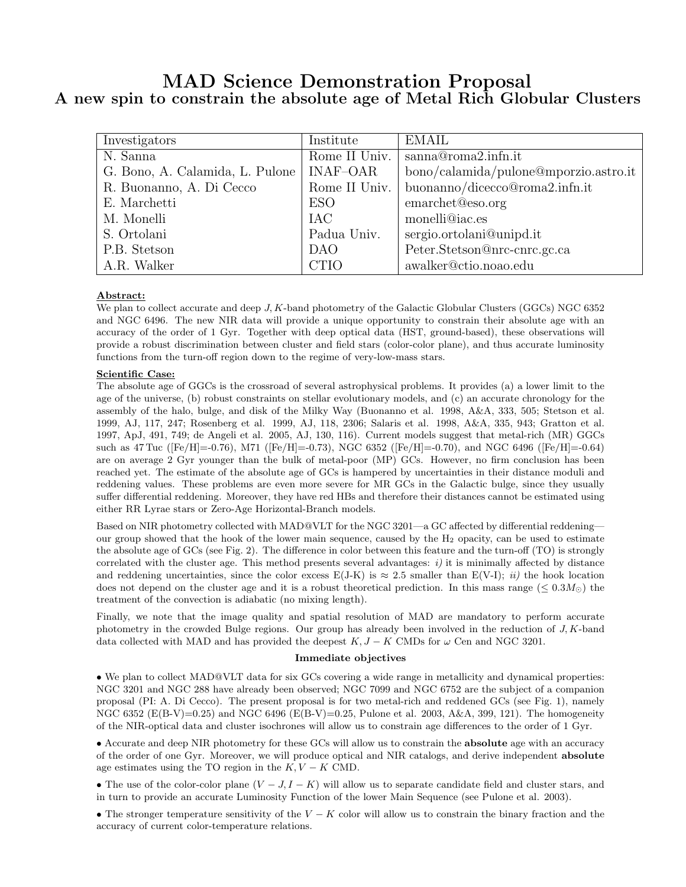# MAD Science Demonstration Proposal A new spin to constrain the absolute age of Metal Rich Globular Clusters

| Investigators                   | Institute     | <b>EMAIL</b>                          |
|---------------------------------|---------------|---------------------------------------|
| N. Sanna                        | Rome II Univ. | sanna@roma2.infn.it                   |
| G. Bono, A. Calamida, L. Pulone | INAF-OAR      | bono/calamida/pulone@mporzio.astro.it |
| R. Buonanno, A. Di Cecco        | Rome II Univ. | buonanno/dicecco@roma2.infn.it        |
| E. Marchetti                    | <b>ESO</b>    | emarchet@eso.org                      |
| M. Monelli                      | IAC           | monelli@iac.es                        |
| S. Ortolani                     | Padua Univ.   | sergio.ortolani@unipd.it              |
| P.B. Stetson                    | <b>DAO</b>    | Peter.Stetson@nrc-cnrc.gc.ca          |
| A.R. Walker                     | <b>CTIO</b>   | awalker@ctio.noao.edu                 |

# Abstract:

We plan to collect accurate and deep J, K-band photometry of the Galactic Globular Clusters (GGCs) NGC 6352 and NGC 6496. The new NIR data will provide a unique opportunity to constrain their absolute age with an accuracy of the order of 1 Gyr. Together with deep optical data (HST, ground-based), these observations will provide a robust discrimination between cluster and field stars (color-color plane), and thus accurate luminosity functions from the turn-off region down to the regime of very-low-mass stars.

## Scientific Case:

The absolute age of GGCs is the crossroad of several astrophysical problems. It provides (a) a lower limit to the age of the universe, (b) robust constraints on stellar evolutionary models, and (c) an accurate chronology for the assembly of the halo, bulge, and disk of the Milky Way (Buonanno et al. 1998, A&A, 333, 505; Stetson et al. 1999, AJ, 117, 247; Rosenberg et al. 1999, AJ, 118, 2306; Salaris et al. 1998, A&A, 335, 943; Gratton et al. 1997, ApJ, 491, 749; de Angeli et al. 2005, AJ, 130, 116). Current models suggest that metal-rich (MR) GGCs such as 47 Tuc ([Fe/H]=-0.76), M71 ([Fe/H]=-0.73), NGC 6352 ([Fe/H]=-0.70), and NGC 6496 ([Fe/H]=-0.64) are on average 2 Gyr younger than the bulk of metal-poor (MP) GCs. However, no firm conclusion has been reached yet. The estimate of the absolute age of GCs is hampered by uncertainties in their distance moduli and reddening values. These problems are even more severe for MR GCs in the Galactic bulge, since they usually suffer differential reddening. Moreover, they have red HBs and therefore their distances cannot be estimated using either RR Lyrae stars or Zero-Age Horizontal-Branch models.

Based on NIR photometry collected with MAD@VLT for the NGC 3201—a GC affected by differential reddening our group showed that the hook of the lower main sequence, caused by the  $H_2$  opacity, can be used to estimate the absolute age of GCs (see Fig. 2). The difference in color between this feature and the turn-off (TO) is strongly correlated with the cluster age. This method presents several advantages:  $i$ ) it is minimally affected by distance and reddening uncertainties, since the color excess  $E(J-K)$  is  $\approx 2.5$  smaller than  $E(V-I); iii)$  the hook location does not depend on the cluster age and it is a robust theoretical prediction. In this mass range ( $\leq 0.3 M_{\odot}$ ) the treatment of the convection is adiabatic (no mixing length).

Finally, we note that the image quality and spatial resolution of MAD are mandatory to perform accurate photometry in the crowded Bulge regions. Our group has already been involved in the reduction of J, K-band data collected with MAD and has provided the deepest  $K, J - K$  CMDs for  $\omega$  Cen and NGC 3201.

#### Immediate objectives

• We plan to collect MAD@VLT data for six GCs covering a wide range in metallicity and dynamical properties: NGC 3201 and NGC 288 have already been observed; NGC 7099 and NGC 6752 are the subject of a companion proposal (PI: A. Di Cecco). The present proposal is for two metal-rich and reddened GCs (see Fig. 1), namely NGC 6352 (E(B-V)=0.25) and NGC 6496 (E(B-V)=0.25, Pulone et al. 2003, A&A, 399, 121). The homogeneity of the NIR-optical data and cluster isochrones will allow us to constrain age differences to the order of 1 Gyr.

• Accurate and deep NIR photometry for these GCs will allow us to constrain the absolute age with an accuracy of the order of one Gyr. Moreover, we will produce optical and NIR catalogs, and derive independent absolute age estimates using the TO region in the  $K, V - K$  CMD.

• The use of the color-color plane  $(V - J, I - K)$  will allow us to separate candidate field and cluster stars, and in turn to provide an accurate Luminosity Function of the lower Main Sequence (see Pulone et al. 2003).

• The stronger temperature sensitivity of the  $V - K$  color will allow us to constrain the binary fraction and the accuracy of current color-temperature relations.